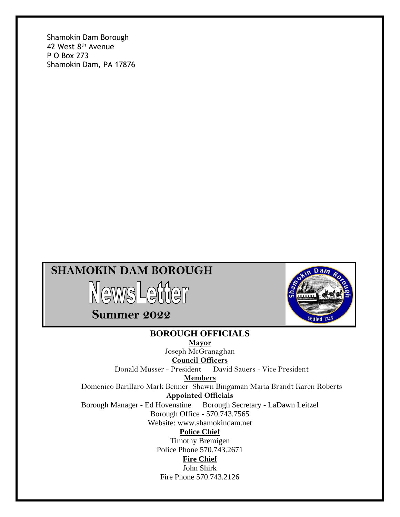Shamokin Dam Borough 42 West 8<sup>th</sup> Avenue P O Box 273 Shamokin Dam, PA 17876

## **SHAMOKIN DAM BOROUGH**



 **Summer 2022**



#### **BOROUGH OFFICIALS**

**Mayor** Joseph McGranaghan

**Council Officers**

Donald Musser - President David Sauers - Vice President

**Members**

Domenico Barillaro Mark Benner Shawn Bingaman Maria Brandt Karen Roberts **Appointed Officials**

Borough Manager - Ed Hovenstine Borough Secretary - LaDawn Leitzel

Borough Office - 570.743.7565

Website: www.shamokindam.net

#### **Police Chief**

Timothy Bremigen Police Phone 570.743.2671

#### **Fire Chief**

John Shirk Fire Phone 570.743.2126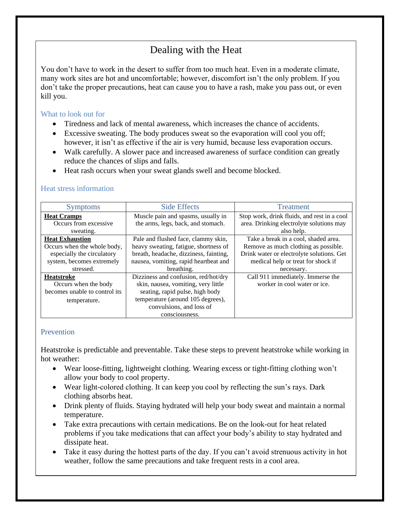## Dealing with the Heat

You don't have to work in the desert to suffer from too much heat. Even in a moderate climate, many work sites are hot and uncomfortable; however, discomfort isn't the only problem. If you don't take the proper precautions, heat can cause you to have a rash, make you pass out, or even kill you.

#### What to look out for

- Tiredness and lack of mental awareness, which increases the chance of accidents.
- Excessive sweating. The body produces sweat so the evaporation will cool you off; however, it isn't as effective if the air is very humid, because less evaporation occurs.
- Walk carefully. A slower pace and increased awareness of surface condition can greatly reduce the chances of slips and falls.
- Heat rash occurs when your sweat glands swell and become blocked.

#### Heat stress information

| <b>Symptoms</b>               | <b>Side Effects</b>                    | <b>Treatment</b>                            |
|-------------------------------|----------------------------------------|---------------------------------------------|
| <b>Heat Cramps</b>            | Muscle pain and spasms, usually in     | Stop work, drink fluids, and rest in a cool |
| Occurs from excessive         | the arms, legs, back, and stomach.     | area. Drinking electrolyte solutions may    |
| sweating.                     |                                        | also help.                                  |
| <b>Heat Exhaustion</b>        | Pale and flushed face, clammy skin,    | Take a break in a cool, shaded area.        |
| Occurs when the whole body,   | heavy sweating, fatigue, shortness of  | Remove as much clothing as possible.        |
| especially the circulatory    | breath, headache, dizziness, fainting, | Drink water or electrolyte solutions. Get   |
| system, becomes extremely     | nausea, vomiting, rapid heartbeat and  | medical help or treat for shock if          |
| stressed.                     | breathing.                             | necessary.                                  |
| <b>Heatstroke</b>             | Dizziness and confusion, red/hot/dry   | Call 911 immediately. Immerse the           |
| Occurs when the body          | skin, nausea, vomiting, very little    | worker in cool water or ice.                |
| becomes unable to control its | seating, rapid pulse, high body        |                                             |
| temperature.                  | temperature (around 105 degrees),      |                                             |
|                               | convulsions, and loss of               |                                             |
|                               | consciousness.                         |                                             |

#### **Prevention**

Heatstroke is predictable and preventable. Take these steps to prevent heatstroke while working in hot weather:

- Wear loose-fitting, lightweight clothing. Wearing excess or tight-fitting clothing won't allow your body to cool property.
- Wear light-colored clothing. It can keep you cool by reflecting the sun's rays. Dark clothing absorbs heat.
- Drink plenty of fluids. Staying hydrated will help your body sweat and maintain a normal temperature.
- Take extra precautions with certain medications. Be on the look-out for heat related problems if you take medications that can affect your body's ability to stay hydrated and dissipate heat.
- Take it easy during the hottest parts of the day. If you can't avoid strenuous activity in hot weather, follow the same precautions and take frequent rests in a cool area.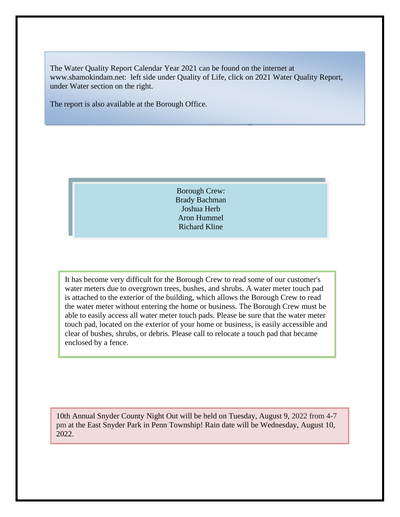The Water Quality Report Calendar Year 2021 can be found on the internet at www.shamokindam.net: left side under Quality of Life, click on 2021 Water Quality Report, under Water section on the right.

The report is also available at the Borough Office.

Borough Crew: Brady Bachman Joshua Herb Aron Hummel Richard Kline

It has become very difficult for the Borough Crew to read some of our customer's water meters due to overgrown trees, bushes, and shrubs. A water meter touch pad is attached to the exterior of the building, which allows the Borough Crew to read the water meter without entering the home or business. The Borough Crew must be able to easily access all water meter touch pads. Please be sure that the water meter touch pad, located on the exterior of your home or business, is easily accessible and clear of bushes, shrubs, or debris. Please call to relocate a touch pad that became enclosed by a fence.

10th Annual Snyder County Night Out will be held on Tuesday, August 9, 2022 from 4-7 pm at the East Snyder Park in Penn Township! Rain date will be Wednesday, August 10, 2022.